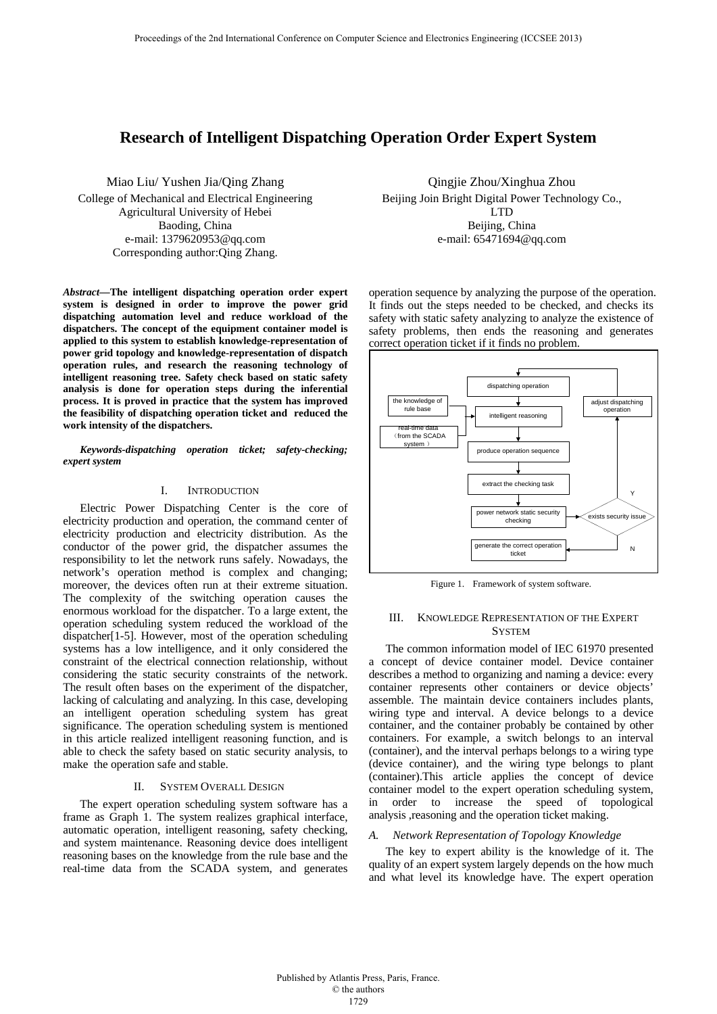# **Research of Intelligent Dispatching Operation Order Expert System**

Miao Liu/ Yushen Jia/Qing Zhang College of Mechanical and Electrical Engineering Agricultural University of Hebei Baoding, China e-mail: 1379620953@qq.com Corresponding author:Qing Zhang.

*Abstract***—The intelligent dispatching operation order expert system is designed in order to improve the power grid dispatching automation level and reduce workload of the dispatchers. The concept of the equipment container model is applied to this system to establish knowledge-representation of power grid topology and knowledge-representation of dispatch operation rules, and research the reasoning technology of intelligent reasoning tree. Safety check based on static safety analysis is done for operation steps during the inferential process. It is proved in practice that the system has improved the feasibility of dispatching operation ticket and reduced the work intensity of the dispatchers.** 

*Keywords-dispatching operation ticket; safety-checking; expert system* 

### I. INTRODUCTION

Electric Power Dispatching Center is the core of electricity production and operation, the command center of electricity production and electricity distribution. As the conductor of the power grid, the dispatcher assumes the responsibility to let the network runs safely. Nowadays, the network's operation method is complex and changing; moreover, the devices often run at their extreme situation. The complexity of the switching operation causes the enormous workload for the dispatcher. To a large extent, the operation scheduling system reduced the workload of the dispatcher[1-5]. However, most of the operation scheduling systems has a low intelligence, and it only considered the constraint of the electrical connection relationship, without considering the static security constraints of the network. The result often bases on the experiment of the dispatcher, lacking of calculating and analyzing. In this case, developing an intelligent operation scheduling system has great significance. The operation scheduling system is mentioned in this article realized intelligent reasoning function, and is able to check the safety based on static security analysis, to make the operation safe and stable.

### II. SYSTEM OVERALL DESIGN

The expert operation scheduling system software has a frame as Graph 1. The system realizes graphical interface, automatic operation, intelligent reasoning, safety checking, and system maintenance. Reasoning device does intelligent reasoning bases on the knowledge from the rule base and the real-time data from the SCADA system, and generates

Qingjie Zhou/Xinghua Zhou Beijing Join Bright Digital Power Technology Co., LTD Beijing, China e-mail: 65471694@qq.com

operation sequence by analyzing the purpose of the operation. It finds out the steps needed to be checked, and checks its safety with static safety analyzing to analyze the existence of safety problems, then ends the reasoning and generates correct operation ticket if it finds no problem.



Figure 1. Framework of system software.

# III. KNOWLEDGE REPRESENTATION OF THE EXPERT **SYSTEM**

The common information model of IEC 61970 presented a concept of device container model. Device container describes a method to organizing and naming a device: every container represents other containers or device objects' assemble. The maintain device containers includes plants, wiring type and interval. A device belongs to a device container, and the container probably be contained by other containers. For example, a switch belongs to an interval (container), and the interval perhaps belongs to a wiring type (device container), and the wiring type belongs to plant (container).This article applies the concept of device container model to the expert operation scheduling system, in order to increase the speed of topological analysis ,reasoning and the operation ticket making.

# *A. Network Representation of Topology Knowledge*

The key to expert ability is the knowledge of it. The quality of an expert system largely depends on the how much and what level its knowledge have. The expert operation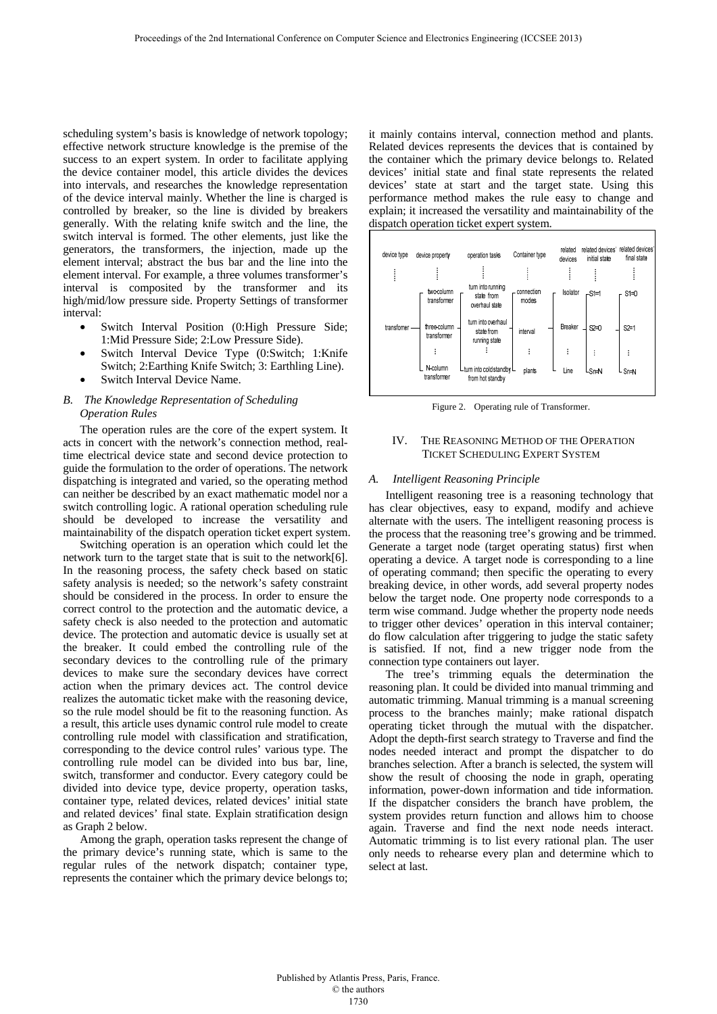scheduling system's basis is knowledge of network topology; effective network structure knowledge is the premise of the success to an expert system. In order to facilitate applying the device container model, this article divides the devices into intervals, and researches the knowledge representation of the device interval mainly. Whether the line is charged is controlled by breaker, so the line is divided by breakers generally. With the relating knife switch and the line, the switch interval is formed. The other elements, just like the generators, the transformers, the injection, made up the element interval; abstract the bus bar and the line into the element interval. For example, a three volumes transformer's interval is composited by the transformer and its high/mid/low pressure side. Property Settings of transformer interval:

- Switch Interval Position (0:High Pressure Side; 1:Mid Pressure Side; 2:Low Pressure Side).
- Switch Interval Device Type (0:Switch; 1:Knife Switch; 2:Earthing Knife Switch; 3: Earthling Line).
- Switch Interval Device Name.

# *B. The Knowledge Representation of Scheduling Operation Rules*

The operation rules are the core of the expert system. It acts in concert with the network's connection method, realtime electrical device state and second device protection to guide the formulation to the order of operations. The network dispatching is integrated and varied, so the operating method can neither be described by an exact mathematic model nor a switch controlling logic. A rational operation scheduling rule should be developed to increase the versatility and maintainability of the dispatch operation ticket expert system.

Switching operation is an operation which could let the network turn to the target state that is suit to the network[6]. In the reasoning process, the safety check based on static safety analysis is needed; so the network's safety constraint should be considered in the process. In order to ensure the correct control to the protection and the automatic device, a safety check is also needed to the protection and automatic device. The protection and automatic device is usually set at the breaker. It could embed the controlling rule of the secondary devices to the controlling rule of the primary devices to make sure the secondary devices have correct action when the primary devices act. The control device realizes the automatic ticket make with the reasoning device, so the rule model should be fit to the reasoning function. As a result, this article uses dynamic control rule model to create controlling rule model with classification and stratification, corresponding to the device control rules' various type. The controlling rule model can be divided into bus bar, line, switch, transformer and conductor. Every category could be divided into device type, device property, operation tasks, container type, related devices, related devices' initial state and related devices' final state. Explain stratification design as Graph 2 below.

Among the graph, operation tasks represent the change of the primary device's running state, which is same to the regular rules of the network dispatch; container type, represents the container which the primary device belongs to; it mainly contains interval, connection method and plants. Related devices represents the devices that is contained by the container which the primary device belongs to. Related devices' initial state and final state represents the related devices' state at start and the target state. Using this performance method makes the rule easy to change and explain; it increased the versatility and maintainability of the dispatch operation ticket expert system.



Figure 2. Operating rule of Transformer.

# IV. THE REASONING METHOD OF THE OPERATION TICKET SCHEDULING EXPERT SYSTEM

# *A. Intelligent Reasoning Principle*

Intelligent reasoning tree is a reasoning technology that has clear objectives, easy to expand, modify and achieve alternate with the users. The intelligent reasoning process is the process that the reasoning tree's growing and be trimmed. Generate a target node (target operating status) first when operating a device. A target node is corresponding to a line of operating command; then specific the operating to every breaking device, in other words, add several property nodes below the target node. One property node corresponds to a term wise command. Judge whether the property node needs to trigger other devices' operation in this interval container; do flow calculation after triggering to judge the static safety is satisfied. If not, find a new trigger node from the connection type containers out layer.

The tree's trimming equals the determination the reasoning plan. It could be divided into manual trimming and automatic trimming. Manual trimming is a manual screening process to the branches mainly; make rational dispatch operating ticket through the mutual with the dispatcher. Adopt the depth-first search strategy to Traverse and find the nodes needed interact and prompt the dispatcher to do branches selection. After a branch is selected, the system will show the result of choosing the node in graph, operating information, power-down information and tide information. If the dispatcher considers the branch have problem, the system provides return function and allows him to choose again. Traverse and find the next node needs interact. Automatic trimming is to list every rational plan. The user only needs to rehearse every plan and determine which to select at last.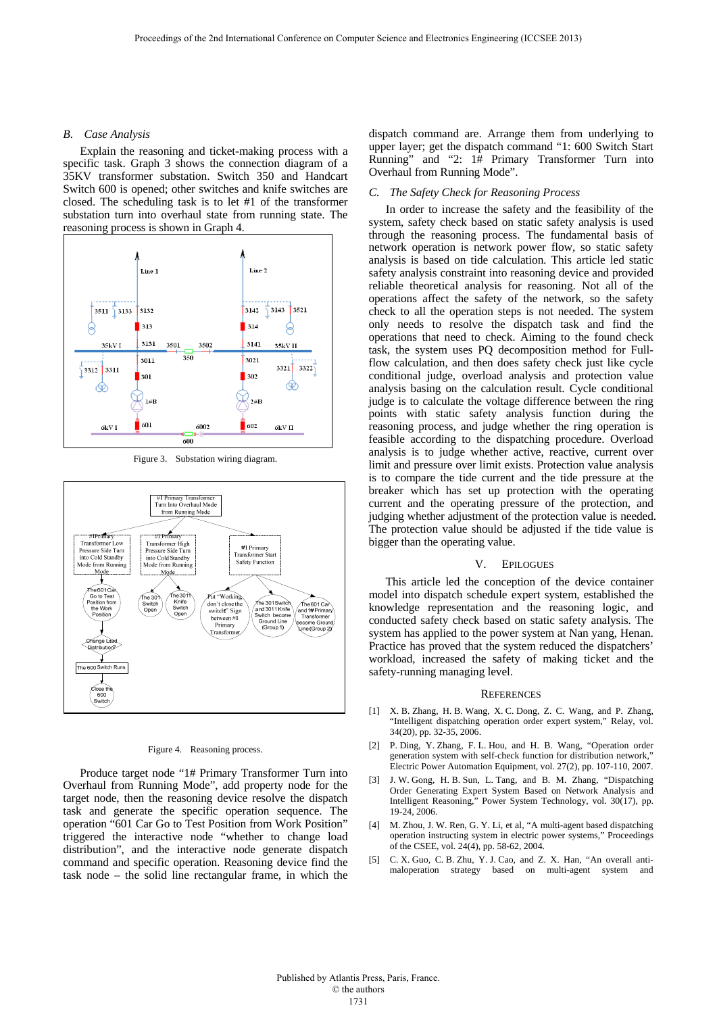### *B. Case Analysis*

Explain the reasoning and ticket-making process with a specific task. Graph 3 shows the connection diagram of a 35KV transformer substation. Switch 350 and Handcart Switch 600 is opened; other switches and knife switches are closed. The scheduling task is to let #1 of the transformer substation turn into overhaul state from running state. The reasoning process is shown in Graph 4.



Figure 3. Substation wiring diagram.



#### Figure 4. Reasoning process.

Produce target node "1# Primary Transformer Turn into Overhaul from Running Mode", add property node for the target node, then the reasoning device resolve the dispatch task and generate the specific operation sequence. The operation "601 Car Go to Test Position from Work Position" triggered the interactive node "whether to change load distribution", and the interactive node generate dispatch command and specific operation. Reasoning device find the task node – the solid line rectangular frame, in which the dispatch command are. Arrange them from underlying to upper layer; get the dispatch command "1: 600 Switch Start Running" and "2: 1# Primary Transformer Turn into Overhaul from Running Mode".

#### *C. The Safety Check for Reasoning Process*

In order to increase the safety and the feasibility of the system, safety check based on static safety analysis is used through the reasoning process. The fundamental basis of network operation is network power flow, so static safety analysis is based on tide calculation. This article led static safety analysis constraint into reasoning device and provided reliable theoretical analysis for reasoning. Not all of the operations affect the safety of the network, so the safety check to all the operation steps is not needed. The system only needs to resolve the dispatch task and find the operations that need to check. Aiming to the found check task, the system uses PQ decomposition method for Fullflow calculation, and then does safety check just like cycle conditional judge, overload analysis and protection value analysis basing on the calculation result. Cycle conditional judge is to calculate the voltage difference between the ring points with static safety analysis function during the reasoning process, and judge whether the ring operation is feasible according to the dispatching procedure. Overload analysis is to judge whether active, reactive, current over limit and pressure over limit exists. Protection value analysis is to compare the tide current and the tide pressure at the breaker which has set up protection with the operating current and the operating pressure of the protection, and judging whether adjustment of the protection value is needed. The protection value should be adjusted if the tide value is bigger than the operating value.

#### V. EPILOGUES

This article led the conception of the device container model into dispatch schedule expert system, established the knowledge representation and the reasoning logic, and conducted safety check based on static safety analysis. The system has applied to the power system at Nan yang, Henan. Practice has proved that the system reduced the dispatchers' workload, increased the safety of making ticket and the safety-running managing level.

#### **REFERENCES**

- [1] X. B. Zhang, H. B. Wang, X. C. Dong, Z. C. Wang, and P. Zhang, "Intelligent dispatching operation order expert system," Relay, vol. 34(20), pp. 32-35, 2006.
- [2] P. Ding, Y. Zhang, F. L. Hou, and H. B. Wang, "Operation order generation system with self-check function for distribution network, Electric Power Automation Equipment, vol. 27(2), pp. 107-110, 2007.
- [3] J. W. Gong, H. B. Sun, L. Tang, and B. M. Zhang, "Dispatching Order Generating Expert System Based on Network Analysis and Intelligent Reasoning," Power System Technology, vol. 30(17), pp. 19-24, 2006.
- [4] M. Zhou, J. W. Ren, G. Y. Li, et al, "A multi-agent based dispatching operation instructing system in electric power systems," Proceedings of the CSEE, vol. 24(4), pp. 58-62, 2004.
- [5] C. X. Guo, C. B. Zhu, Y. J. Cao, and Z. X. Han, "An overall antimaloperation strategy based on multi-agent system and